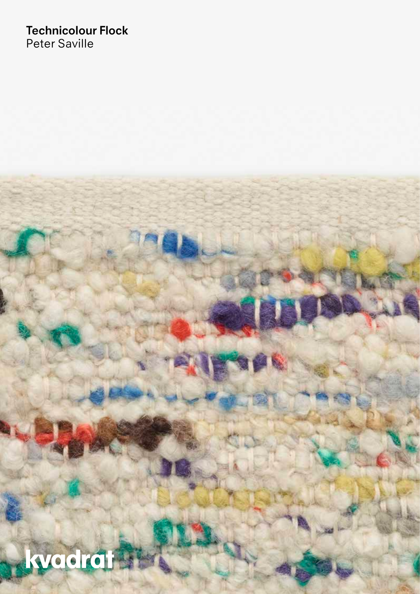## **Technicolour Flock** Peter Saville